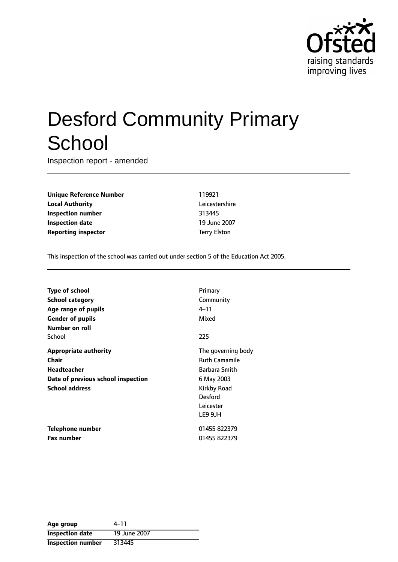

# Desford Community Primary **School**

Inspection report - amended

**Unique Reference Number** 119921 **Local Authority** Leicestershire **Inspection number** 313445 **Inspection date** 19 June 2007 **Reporting inspector** Terry Elston

This inspection of the school was carried out under section 5 of the Education Act 2005.

| <b>Type of school</b>              | Primary              |
|------------------------------------|----------------------|
| <b>School category</b>             | Community            |
| Age range of pupils                | 4–11                 |
| <b>Gender of pupils</b>            | Mixed                |
| Number on roll                     |                      |
| School                             | 225                  |
| <b>Appropriate authority</b>       | The governing body   |
| Chair                              | <b>Ruth Camamile</b> |
| <b>Headteacher</b>                 | Barbara Smith        |
| Date of previous school inspection | 6 May 2003           |
| <b>School address</b>              | Kirkby Road          |
|                                    | <b>Desford</b>       |
|                                    | Leicester            |
|                                    | LE9 9JH              |
| Telephone number                   | 01455 822379         |
| <b>Fax number</b>                  | 01455 822379         |

| Age group                | 4–11         |
|--------------------------|--------------|
| <b>Inspection date</b>   | 19 June 2007 |
| <b>Inspection number</b> | 313445       |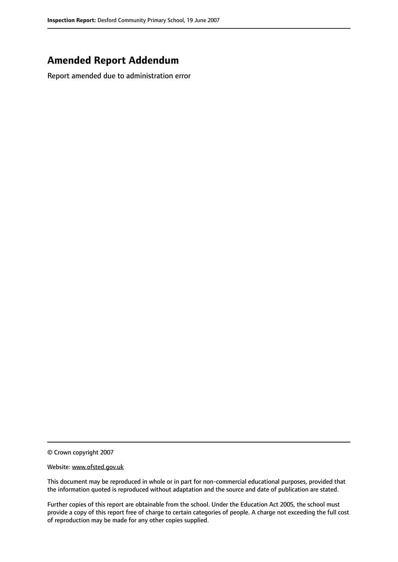## **Amended Report Addendum**

Report amended due to administration error

© Crown copyright 2007

#### Website: www.ofsted.gov.uk

This document may be reproduced in whole or in part for non-commercial educational purposes, provided that the information quoted is reproduced without adaptation and the source and date of publication are stated.

Further copies of this report are obtainable from the school. Under the Education Act 2005, the school must provide a copy of this report free of charge to certain categories of people. A charge not exceeding the full cost of reproduction may be made for any other copies supplied.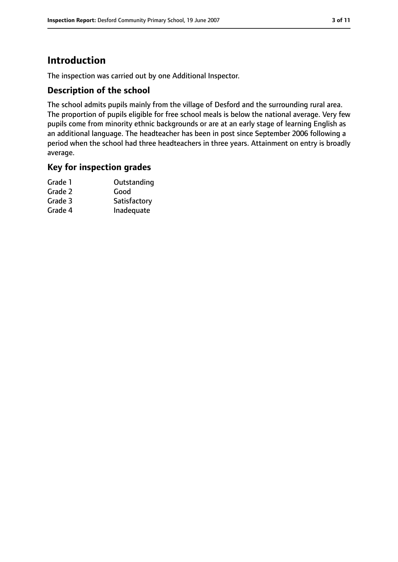# **Introduction**

The inspection was carried out by one Additional Inspector.

## **Description of the school**

The school admits pupils mainly from the village of Desford and the surrounding rural area. The proportion of pupils eligible for free school meals is below the national average. Very few pupils come from minority ethnic backgrounds or are at an early stage of learning English as an additional language. The headteacher has been in post since September 2006 following a period when the school had three headteachers in three years. Attainment on entry is broadly average.

## **Key for inspection grades**

| Grade 1 | Outstanding  |
|---------|--------------|
| Grade 2 | Good         |
| Grade 3 | Satisfactory |
| Grade 4 | Inadequate   |
|         |              |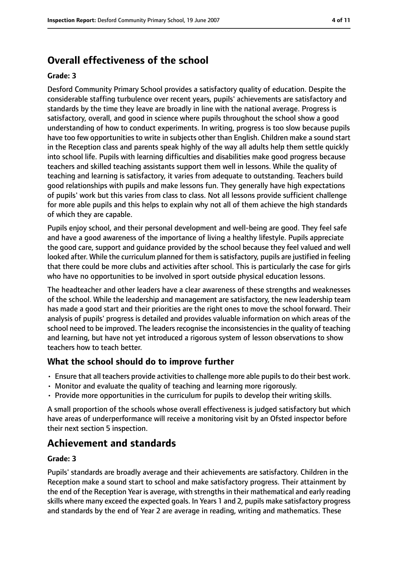# **Overall effectiveness of the school**

#### **Grade: 3**

Desford Community Primary School provides a satisfactory quality of education. Despite the considerable staffing turbulence over recent years, pupils' achievements are satisfactory and standards by the time they leave are broadly in line with the national average. Progress is satisfactory, overall, and good in science where pupils throughout the school show a good understanding of how to conduct experiments. In writing, progress is too slow because pupils have too few opportunities to write in subjects other than English. Children make a sound start in the Reception class and parents speak highly of the way all adults help them settle quickly into school life. Pupils with learning difficulties and disabilities make good progress because teachers and skilled teaching assistants support them well in lessons. While the quality of teaching and learning is satisfactory, it varies from adequate to outstanding. Teachers build good relationships with pupils and make lessons fun. They generally have high expectations of pupils' work but this varies from class to class. Not all lessons provide sufficient challenge for more able pupils and this helps to explain why not all of them achieve the high standards of which they are capable.

Pupils enjoy school, and their personal development and well-being are good. They feel safe and have a good awareness of the importance of living a healthy lifestyle. Pupils appreciate the good care, support and guidance provided by the school because they feel valued and well looked after. While the curriculum planned for them is satisfactory, pupils are justified in feeling that there could be more clubs and activities after school. This is particularly the case for girls who have no opportunities to be involved in sport outside physical education lessons.

The headteacher and other leaders have a clear awareness of these strengths and weaknesses of the school. While the leadership and management are satisfactory, the new leadership team has made a good start and their priorities are the right ones to move the school forward. Their analysis of pupils' progress is detailed and provides valuable information on which areas of the school need to be improved. The leaders recognise the inconsistencies in the quality of teaching and learning, but have not yet introduced a rigorous system of lesson observations to show teachers how to teach better.

## **What the school should do to improve further**

- Ensure that all teachers provide activitiesto challenge more able pupilsto do their best work.
- Monitor and evaluate the quality of teaching and learning more rigorously.
- Provide more opportunities in the curriculum for pupils to develop their writing skills.

A small proportion of the schools whose overall effectiveness is judged satisfactory but which have areas of underperformance will receive a monitoring visit by an Ofsted inspector before their next section 5 inspection.

# **Achievement and standards**

#### **Grade: 3**

Pupils' standards are broadly average and their achievements are satisfactory. Children in the Reception make a sound start to school and make satisfactory progress. Their attainment by the end of the Reception Year is average, with strengths in their mathematical and early reading skills where many exceed the expected goals. In Years 1 and 2, pupils make satisfactory progress and standards by the end of Year 2 are average in reading, writing and mathematics. These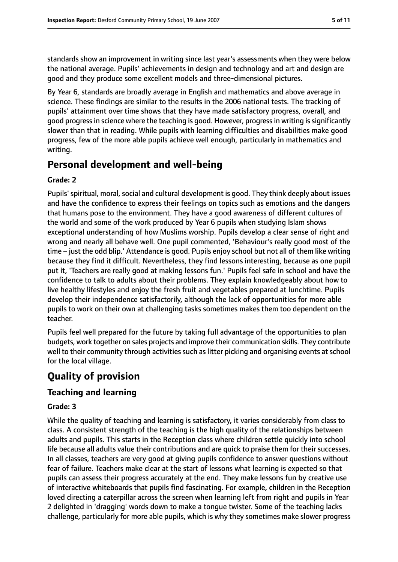standards show an improvement in writing since last year's assessments when they were below the national average. Pupils' achievements in design and technology and art and design are good and they produce some excellent models and three-dimensional pictures.

By Year 6, standards are broadly average in English and mathematics and above average in science. These findings are similar to the results in the 2006 national tests. The tracking of pupils' attainment over time shows that they have made satisfactory progress, overall, and good progress in science where the teaching is good. However, progress in writing is significantly slower than that in reading. While pupils with learning difficulties and disabilities make good progress, few of the more able pupils achieve well enough, particularly in mathematics and writing.

# **Personal development and well-being**

#### **Grade: 2**

Pupils' spiritual, moral, social and cultural development is good. They think deeply about issues and have the confidence to express their feelings on topics such as emotions and the dangers that humans pose to the environment. They have a good awareness of different cultures of the world and some of the work produced by Year 6 pupils when studying Islam shows exceptional understanding of how Muslims worship. Pupils develop a clear sense of right and wrong and nearly all behave well. One pupil commented, 'Behaviour's really good most of the time - just the odd blip.' Attendance is good. Pupils enjoy school but not all of them like writing because they find it difficult. Nevertheless, they find lessons interesting, because as one pupil put it, 'Teachers are really good at making lessons fun.' Pupils feel safe in school and have the confidence to talk to adults about their problems. They explain knowledgeably about how to live healthy lifestyles and enjoy the fresh fruit and vegetables prepared at lunchtime. Pupils develop their independence satisfactorily, although the lack of opportunities for more able pupils to work on their own at challenging tasks sometimes makes them too dependent on the teacher.

Pupils feel well prepared for the future by taking full advantage of the opportunities to plan budgets, work together on sales projects and improve their communication skills. They contribute well to their community through activities such as litter picking and organising events at school for the local village.

# **Quality of provision**

## **Teaching and learning**

#### **Grade: 3**

While the quality of teaching and learning is satisfactory, it varies considerably from class to class. A consistent strength of the teaching is the high quality of the relationships between adults and pupils. This starts in the Reception class where children settle quickly into school life because all adults value their contributions and are quick to praise them for their successes. In all classes, teachers are very good at giving pupils confidence to answer questions without fear of failure. Teachers make clear at the start of lessons what learning is expected so that pupils can assess their progress accurately at the end. They make lessons fun by creative use of interactive whiteboards that pupils find fascinating. For example, children in the Reception loved directing a caterpillar across the screen when learning left from right and pupils in Year 2 delighted in 'dragging' words down to make a tongue twister. Some of the teaching lacks challenge, particularly for more able pupils, which is why they sometimes make slower progress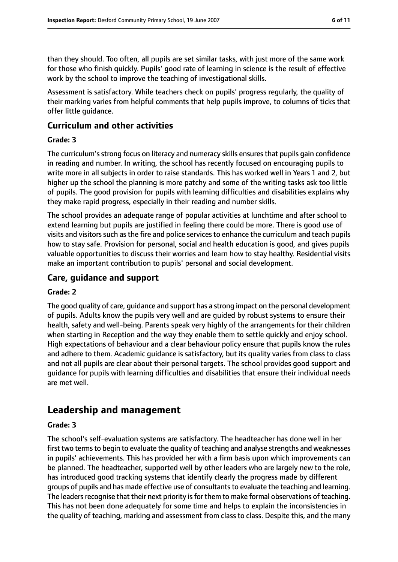than they should. Too often, all pupils are set similar tasks, with just more of the same work for those who finish quickly. Pupils' good rate of learning in science is the result of effective work by the school to improve the teaching of investigational skills.

Assessment is satisfactory. While teachers check on pupils' progress regularly, the quality of their marking varies from helpful comments that help pupils improve, to columns of ticks that offer little guidance.

## **Curriculum and other activities**

#### **Grade: 3**

The curriculum's strong focus on literacy and numeracy skills ensures that pupils gain confidence in reading and number. In writing, the school has recently focused on encouraging pupils to write more in all subjects in order to raise standards. This has worked well in Years 1 and 2, but higher up the school the planning is more patchy and some of the writing tasks ask too little of pupils. The good provision for pupils with learning difficulties and disabilities explains why they make rapid progress, especially in their reading and number skills.

The school provides an adequate range of popular activities at lunchtime and after school to extend learning but pupils are justified in feeling there could be more. There is good use of visits and visitors such as the fire and police services to enhance the curriculum and teach pupils how to stay safe. Provision for personal, social and health education is good, and gives pupils valuable opportunities to discuss their worries and learn how to stay healthy. Residential visits make an important contribution to pupils' personal and social development.

## **Care, guidance and support**

#### **Grade: 2**

The good quality of care, guidance and support has a strong impact on the personal development of pupils. Adults know the pupils very well and are guided by robust systems to ensure their health, safety and well-being. Parents speak very highly of the arrangements for their children when starting in Reception and the way they enable them to settle quickly and enjoy school. High expectations of behaviour and a clear behaviour policy ensure that pupils know the rules and adhere to them. Academic guidance is satisfactory, but its quality varies from class to class and not all pupils are clear about their personal targets. The school provides good support and guidance for pupils with learning difficulties and disabilities that ensure their individual needs are met well.

# **Leadership and management**

#### **Grade: 3**

The school's self-evaluation systems are satisfactory. The headteacher has done well in her first two terms to begin to evaluate the quality of teaching and analyse strengths and weaknesses in pupils' achievements. This has provided her with a firm basis upon which improvements can be planned. The headteacher, supported well by other leaders who are largely new to the role, has introduced good tracking systems that identify clearly the progress made by different groups of pupils and has made effective use of consultants to evaluate the teaching and learning. The leaders recognise that their next priority is for them to make formal observations of teaching. This has not been done adequately for some time and helps to explain the inconsistencies in the quality of teaching, marking and assessment from class to class. Despite this, and the many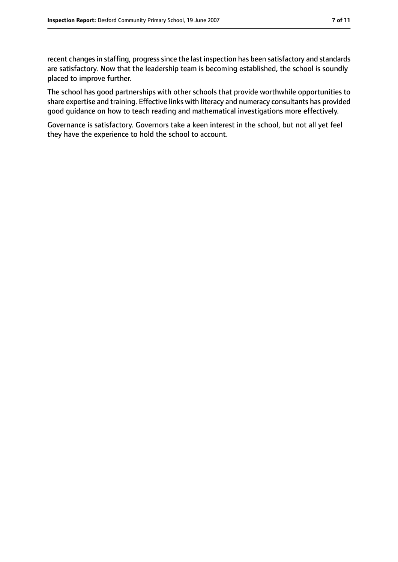recent changes in staffing, progress since the last inspection has been satisfactory and standards are satisfactory. Now that the leadership team is becoming established, the school is soundly placed to improve further.

The school has good partnerships with other schools that provide worthwhile opportunities to share expertise and training. Effective links with literacy and numeracy consultants has provided good guidance on how to teach reading and mathematical investigations more effectively.

Governance is satisfactory. Governors take a keen interest in the school, but not all yet feel they have the experience to hold the school to account.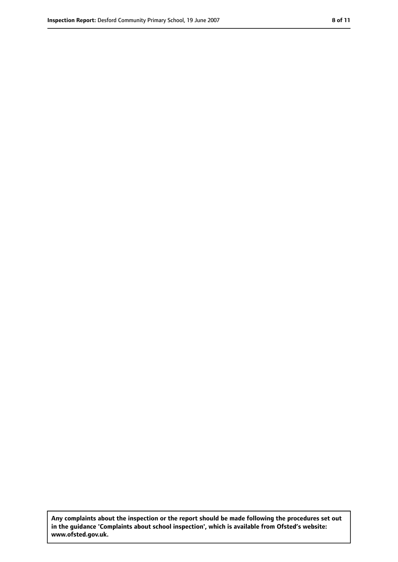**Any complaints about the inspection or the report should be made following the procedures set out in the guidance 'Complaints about school inspection', which is available from Ofsted's website: www.ofsted.gov.uk.**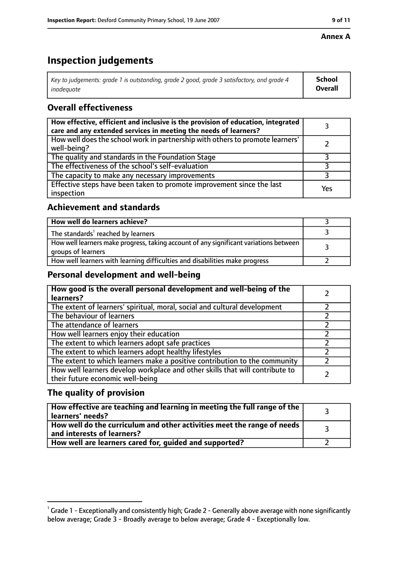#### **Annex A**

# **Inspection judgements**

| Key to judgements: grade 1 is outstanding, grade 2 good, grade 3 satisfactory, and grade 4 $\,$ | <b>School</b>  |
|-------------------------------------------------------------------------------------------------|----------------|
| inadequate                                                                                      | <b>Overall</b> |

## **Overall effectiveness**

| How effective, efficient and inclusive is the provision of education, integrated<br>care and any extended services in meeting the needs of learners? |     |
|------------------------------------------------------------------------------------------------------------------------------------------------------|-----|
| How well does the school work in partnership with others to promote learners'<br>well-being?                                                         |     |
| The quality and standards in the Foundation Stage                                                                                                    |     |
| The effectiveness of the school's self-evaluation                                                                                                    |     |
| The capacity to make any necessary improvements                                                                                                      |     |
| Effective steps have been taken to promote improvement since the last<br>inspection                                                                  | Yes |

## **Achievement and standards**

| How well do learners achieve?                                                                               |  |
|-------------------------------------------------------------------------------------------------------------|--|
| The standards <sup>1</sup> reached by learners                                                              |  |
| How well learners make progress, taking account of any significant variations between<br>groups of learners |  |
| How well learners with learning difficulties and disabilities make progress                                 |  |

## **Personal development and well-being**

| How good is the overall personal development and well-being of the<br>learners?                                  |  |
|------------------------------------------------------------------------------------------------------------------|--|
| The extent of learners' spiritual, moral, social and cultural development                                        |  |
| The behaviour of learners                                                                                        |  |
| The attendance of learners                                                                                       |  |
| How well learners enjoy their education                                                                          |  |
| The extent to which learners adopt safe practices                                                                |  |
| The extent to which learners adopt healthy lifestyles                                                            |  |
| The extent to which learners make a positive contribution to the community                                       |  |
| How well learners develop workplace and other skills that will contribute to<br>their future economic well-being |  |

## **The quality of provision**

| How effective are teaching and learning in meeting the full range of the<br>learners' needs?          |  |
|-------------------------------------------------------------------------------------------------------|--|
| How well do the curriculum and other activities meet the range of needs<br>and interests of learners? |  |
| How well are learners cared for, quided and supported?                                                |  |

 $^1$  Grade 1 - Exceptionally and consistently high; Grade 2 - Generally above average with none significantly below average; Grade 3 - Broadly average to below average; Grade 4 - Exceptionally low.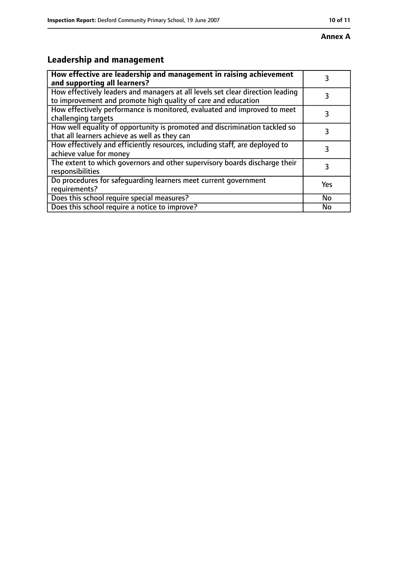#### **Annex A**

# **Leadership and management**

| How effective are leadership and management in raising achievement<br>and supporting all learners?                                              | 3         |
|-------------------------------------------------------------------------------------------------------------------------------------------------|-----------|
| How effectively leaders and managers at all levels set clear direction leading<br>to improvement and promote high quality of care and education |           |
| How effectively performance is monitored, evaluated and improved to meet<br>challenging targets                                                 | 3         |
| How well equality of opportunity is promoted and discrimination tackled so<br>that all learners achieve as well as they can                     |           |
| How effectively and efficiently resources, including staff, are deployed to<br>achieve value for money                                          | 3         |
| The extent to which governors and other supervisory boards discharge their<br>responsibilities                                                  | 3         |
| Do procedures for safequarding learners meet current government<br>requirements?                                                                | Yes       |
| Does this school require special measures?                                                                                                      | <b>No</b> |
| Does this school require a notice to improve?                                                                                                   | No        |